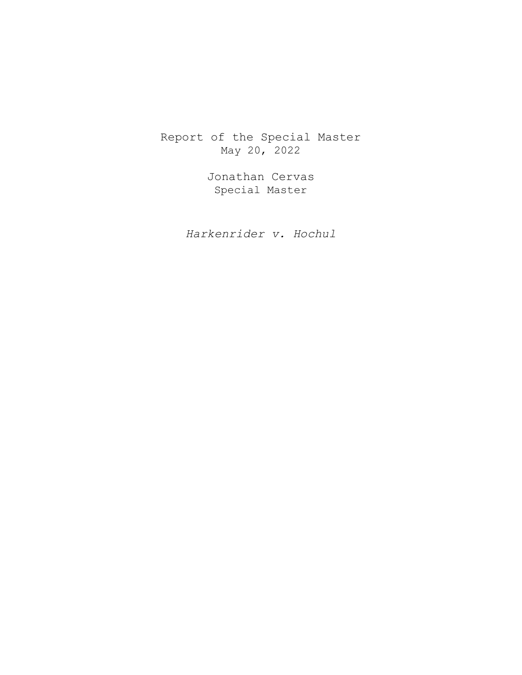Report of the Special Master May 20, 2022

> Jonathan Cervas Special Master

*Harkenrider v. Hochul*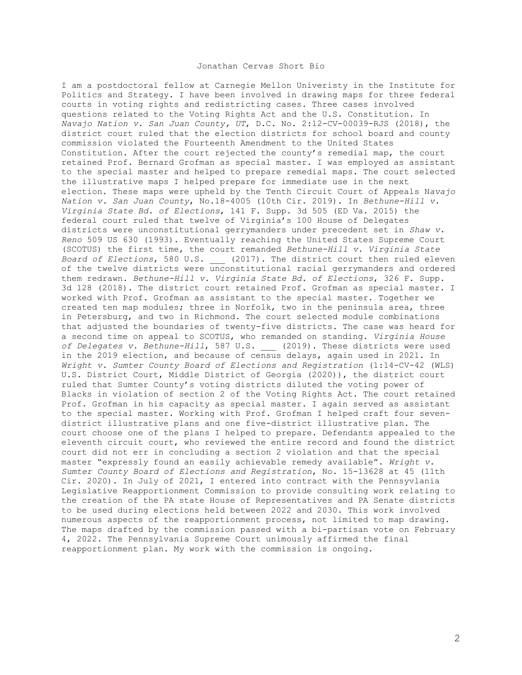# Jonathan Cervas Short Bio

I am a postdoctoral fellow at Carnegie Mellon Univeristy in the Institute for Politics and Strategy. I have been involved in drawing maps for three federal courts in voting rights and redistricting cases. Three cases involved questions related to the Voting Rights Act and the U.S. Constitution. In *Navajo Nation v. San Juan County, UT*, D.C. No. 2:12-CV-00039-RJS (2018), the district court ruled that the election districts for school board and county commission violated the Fourteenth Amendment to the United States Constitution. After the court rejected the county's remedial map, the court retained Prof. Bernard Grofman as special master. I was employed as assistant to the special master and helped to prepare remedial maps. The court selected the illustrative maps I helped prepare for immediate use in the next election. These maps were upheld by the Tenth Circuit Court of Appeals N*avajo Nation v. San Juan County*, No.18-4005 (10th Cir. 2019). In *Bethune-Hill v. Virginia State Bd. of Elections*, 141 F. Supp. 3d 505 (ED Va. 2015) the federal court ruled that twelve of Virginia's 100 House of Delegates districts were unconstitutional gerrymanders under precedent set in *Shaw v. Reno* 509 US 630 (1993). Eventually reaching the United States Supreme Court (SCOTUS) the first time, the court remanded *Bethune-Hill v. Virginia State Board of Elections*, 580 U.S. \_\_\_ (2017). The district court then ruled eleven of the twelve districts were unconstitutional racial gerrymanders and ordered them redrawn. *Bethune-Hill v. Virginia State Bd. of Elections*, 326 F. Supp. 3d 128 (2018). The district court retained Prof. Grofman as special master. I worked with Prof. Grofman as assistant to the special master. Together we created ten map modules; three in Norfolk, two in the peninsula area, three in Petersburg, and two in Richmond. The court selected module combinations that adjusted the boundaries of twenty-five districts. The case was heard for a second time on appeal to SCOTUS, who remanded on standing. *Virginia House of Delegates v. Bethune-Hill*, 587 U.S. \_\_\_ (2019). These districts were used in the 2019 election, and because of census delays, again used in 2021. In *Wright v. Sumter County Board of Elections and Registration* (1:14-CV-42 (WLS) U.S. District Court, Middle District of Georgia (2020)), the district court ruled that Sumter County's voting districts diluted the voting power of Blacks in violation of section 2 of the Voting Rights Act. The court retained Prof. Grofman in his capacity as special master. I again served as assistant to the special master. Working with Prof. Grofman I helped craft four sevendistrict illustrative plans and one five-district illustrative plan. The court choose one of the plans I helped to prepare. Defendants appealed to the eleventh circuit court, who reviewed the entire record and found the district court did not err in concluding a section 2 violation and that the special master "expressly found an easily achievable remedy available". *Wright v. Sumter County Board of Elections and Registration*, No. 15-13628 at 45 (11th Cir. 2020). In July of 2021, I entered into contract with the Pennsyvlania Legislative Reapportionment Commission to provide consulting work relating to the creation of the PA state House of Representatives and PA Senate districts to be used during elections held between 2022 and 2030. This work involved numerous aspects of the reapportionment process, not limited to map drawing. The maps drafted by the commission passed with a bi-partisan vote on February 4, 2022. The Pennsylvania Supreme Court unimously affirmed the final reapportionment plan. My work with the commission is ongoing.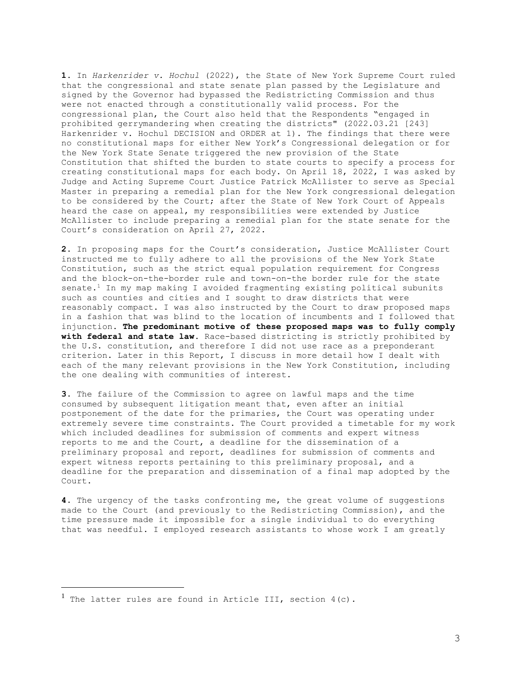**1.** In *Harkenrider v. Hochul* (2022), the State of New York Supreme Court ruled that the congressional and state senate plan passed by the Legislature and signed by the Governor had bypassed the Redistricting Commission and thus were not enacted through a constitutionally valid process. For the congressional plan, the Court also held that the Respondents "engaged in prohibited gerrymandering when creating the districts" (2022.03.21 [243] Harkenrider v. Hochul DECISION and ORDER at 1). The findings that there were no constitutional maps for either New York's Congressional delegation or for the New York State Senate triggered the new provision of the State Constitution that shifted the burden to state courts to specify a process for creating constitutional maps for each body. On April 18, 2022, I was asked by Judge and Acting Supreme Court Justice Patrick McAllister to serve as Special Master in preparing a remedial plan for the New York congressional delegation to be considered by the Court; after the State of New York Court of Appeals heard the case on appeal, my responsibilities were extended by Justice McAllister to include preparing a remedial plan for the state senate for the Court's consideration on April 27, 2022.

**2.** In proposing maps for the Court's consideration, Justice McAllister Court instructed me to fully adhere to all the provisions of the New York State Constitution, such as the strict equal population requirement for Congress and the block-on-the-border rule and town-on-the border rule for the state senate.<sup>1</sup> In my map making I avoided fragmenting existing political subunits such as counties and cities and I sought to draw districts that were reasonably compact. I was also instructed by the Court to draw proposed maps in a fashion that was blind to the location of incumbents and I followed that injunction. **The predominant motive of these proposed maps was to fully comply with federal and state law**. Race-based districting is strictly prohibited by the U.S. constitution, and therefore I did not use race as a preponderant criterion. Later in this Report, I discuss in more detail how I dealt with each of the many relevant provisions in the New York Constitution, including the one dealing with communities of interest.

**3.** The failure of the Commission to agree on lawful maps and the time consumed by subsequent litigation meant that, even after an initial postponement of the date for the primaries, the Court was operating under extremely severe time constraints. The Court provided a timetable for my work which included deadlines for submission of comments and expert witness reports to me and the Court, a deadline for the dissemination of a preliminary proposal and report, deadlines for submission of comments and expert witness reports pertaining to this preliminary proposal, and a deadline for the preparation and dissemination of a final map adopted by the Court.

**4.** The urgency of the tasks confronting me, the great volume of suggestions made to the Court (and previously to the Redistricting Commission), and the time pressure made it impossible for a single individual to do everything that was needful. I employed research assistants to whose work I am greatly

<sup>&</sup>lt;sup>1</sup> The latter rules are found in Article III, section  $4(c)$ .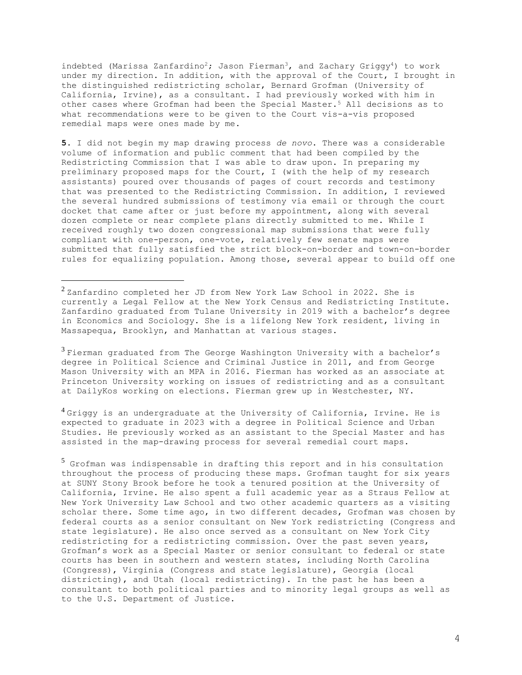indebted (Marissa Zanfardino<sup>2</sup>; Jason Fierman<sup>3</sup>, and Zachary Griggy<sup>4</sup>) to work under my direction. In addition, with the approval of the Court, I brought in the distinguished redistricting scholar, Bernard Grofman (University of California, Irvine), as a consultant. I had previously worked with him in other cases where Grofman had been the Special Master.<sup>5</sup> All decisions as to what recommendations were to be given to the Court vis-a-vis proposed remedial maps were ones made by me.

**5.** I did not begin my map drawing process *de novo*. There was a considerable volume of information and public comment that had been compiled by the Redistricting Commission that I was able to draw upon. In preparing my preliminary proposed maps for the Court, I (with the help of my research assistants) poured over thousands of pages of court records and testimony that was presented to the Redistricting Commission. In addition, I reviewed the several hundred submissions of testimony via email or through the court docket that came after or just before my appointment, along with several dozen complete or near complete plans directly submitted to me. While I received roughly two dozen congressional map submissions that were fully compliant with one-person, one-vote, relatively few senate maps were submitted that fully satisfied the strict block-on-border and town-on-border rules for equalizing population. Among those, several appear to build off one

<sup>2</sup> Zanfardino completed her JD from New York Law School in 2022. She is currently a Legal Fellow at the New York Census and Redistricting Institute. Zanfardino graduated from Tulane University in 2019 with a bachelor's degree in Economics and Sociology. She is a lifelong New York resident, living in Massapequa, Brooklyn, and Manhattan at various stages.

 $3$  Fierman graduated from The George Washington University with a bachelor's degree in Political Science and Criminal Justice in 2011, and from George Mason University with an MPA in 2016. Fierman has worked as an associate at Princeton University working on issues of redistricting and as a consultant at DailyKos working on elections. Fierman grew up in Westchester, NY.

 $4$  Griggy is an undergraduate at the University of California, Irvine. He is expected to graduate in 2023 with a degree in Political Science and Urban Studies. He previously worked as an assistant to the Special Master and has assisted in the map-drawing process for several remedial court maps.

<sup>5</sup> Grofman was indispensable in drafting this report and in his consultation throughout the process of producing these maps. Grofman taught for six years at SUNY Stony Brook before he took a tenured position at the University of California, Irvine. He also spent a full academic year as a Straus Fellow at New York University Law School and two other academic quarters as a visiting scholar there. Some time ago, in two different decades, Grofman was chosen by federal courts as a senior consultant on New York redistricting (Congress and state legislature). He also once served as a consultant on New York City redistricting for a redistricting commission. Over the past seven years, Grofman's work as a Special Master or senior consultant to federal or state courts has been in southern and western states, including North Carolina (Congress), Virginia (Congress and state legislature), Georgia (local districting), and Utah (local redistricting). In the past he has been a consultant to both political parties and to minority legal groups as well as to the U.S. Department of Justice.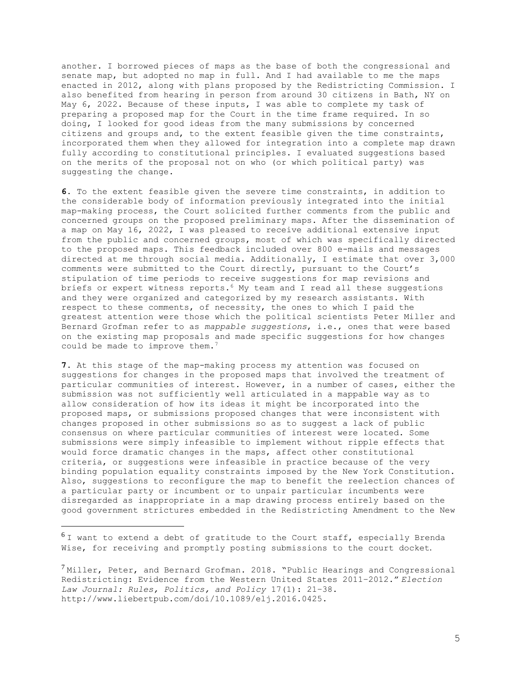another. I borrowed pieces of maps as the base of both the congressional and senate map, but adopted no map in full. And I had available to me the maps enacted in 2012, along with plans proposed by the Redistricting Commission. I also benefited from hearing in person from around 30 citizens in Bath, NY on May 6, 2022. Because of these inputs, I was able to complete my task of preparing a proposed map for the Court in the time frame required. In so doing, I looked for good ideas from the many submissions by concerned citizens and groups and, to the extent feasible given the time constraints, incorporated them when they allowed for integration into a complete map drawn fully according to constitutional principles. I evaluated suggestions based on the merits of the proposal not on who (or which political party) was suggesting the change.

**6.** To the extent feasible given the severe time constraints, in addition to the considerable body of information previously integrated into the initial map-making process, the Court solicited further comments from the public and concerned groups on the proposed preliminary maps. After the dissemination of a map on May 16, 2022, I was pleased to receive additional extensive input from the public and concerned groups, most of which was specifically directed to the proposed maps. This feedback included over 800 e-mails and messages directed at me through social media. Additionally, I estimate that over 3,000 comments were submitted to the Court directly, pursuant to the Court's stipulation of time periods to receive suggestions for map revisions and briefs or expert witness reports.<sup>6</sup> My team and I read all these suggestions and they were organized and categorized by my research assistants. With respect to these comments, of necessity, the ones to which I paid the greatest attention were those which the political scientists Peter Miller and Bernard Grofman refer to as *mappable suggestions*, i.e., ones that were based on the existing map proposals and made specific suggestions for how changes could be made to improve them.<sup>7</sup>

**7.** At this stage of the map-making process my attention was focused on suggestions for changes in the proposed maps that involved the treatment of particular communities of interest. However, in a number of cases, either the submission was not sufficiently well articulated in a mappable way as to allow consideration of how its ideas it might be incorporated into the proposed maps, or submissions proposed changes that were inconsistent with changes proposed in other submissions so as to suggest a lack of public consensus on where particular communities of interest were located. Some submissions were simply infeasible to implement without ripple effects that would force dramatic changes in the maps, affect other constitutional criteria, or suggestions were infeasible in practice because of the very binding population equality constraints imposed by the New York Constitution. Also, suggestions to reconfigure the map to benefit the reelection chances of a particular party or incumbent or to unpair particular incumbents were disregarded as inappropriate in a map drawing process entirely based on the good government strictures embedded in the Redistricting Amendment to the New

 $6$ I want to extend a debt of gratitude to the Court staff, especially Brenda Wise, for receiving and promptly posting submissions to the court docket.

 $^7$  Miller, Peter, and Bernard Grofman. 2018. "Public Hearings and Congressional Redistricting: Evidence from the Western United States 2011–2012." *Election Law Journal: Rules, Politics, and Policy* 17(1): 21–38. http://www.liebertpub.com/doi/10.1089/elj.2016.0425.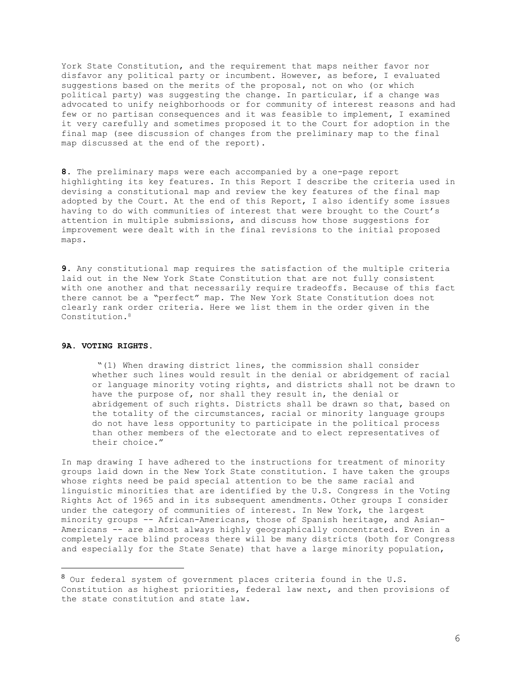York State Constitution, and the requirement that maps neither favor nor disfavor any political party or incumbent. However, as before, I evaluated suggestions based on the merits of the proposal, not on who (or which political party) was suggesting the change. In particular, if a change was advocated to unify neighborhoods or for community of interest reasons and had few or no partisan consequences and it was feasible to implement, I examined it very carefully and sometimes proposed it to the Court for adoption in the final map (see discussion of changes from the preliminary map to the final map discussed at the end of the report).

**8.** The preliminary maps were each accompanied by a one-page report highlighting its key features. In this Report I describe the criteria used in devising a constitutional map and review the key features of the final map adopted by the Court. At the end of this Report, I also identify some issues having to do with communities of interest that were brought to the Court's attention in multiple submissions, and discuss how those suggestions for improvement were dealt with in the final revisions to the initial proposed maps.

**9.** Any constitutional map requires the satisfaction of the multiple criteria laid out in the New York State Constitution that are not fully consistent with one another and that necessarily require tradeoffs. Because of this fact there cannot be a "perfect" map. The New York State Constitution does not clearly rank order criteria. Here we list them in the order given in the Constitution**.**<sup>8</sup>

# **9A. VOTING RIGHTS.**

"(1) When drawing district lines, the commission shall consider whether such lines would result in the denial or abridgement of racial or language minority voting rights, and districts shall not be drawn to have the purpose of, nor shall they result in, the denial or abridgement of such rights. Districts shall be drawn so that, based on the totality of the circumstances, racial or minority language groups do not have less opportunity to participate in the political process than other members of the electorate and to elect representatives of their choice."

In map drawing I have adhered to the instructions for treatment of minority groups laid down in the New York State constitution. I have taken the groups whose rights need be paid special attention to be the same racial and linguistic minorities that are identified by the U.S. Congress in the Voting Rights Act of 1965 and in its subsequent amendments. Other groups I consider under the category of communities of interest. In New York, the largest minority groups -- African-Americans, those of Spanish heritage, and Asian-Americans -- are almost always highly geographically concentrated. Even in a completely race blind process there will be many districts (both for Congress and especially for the State Senate) that have a large minority population,

<sup>8</sup> Our federal system of government places criteria found in the U.S. Constitution as highest priorities, federal law next, and then provisions of the state constitution and state law.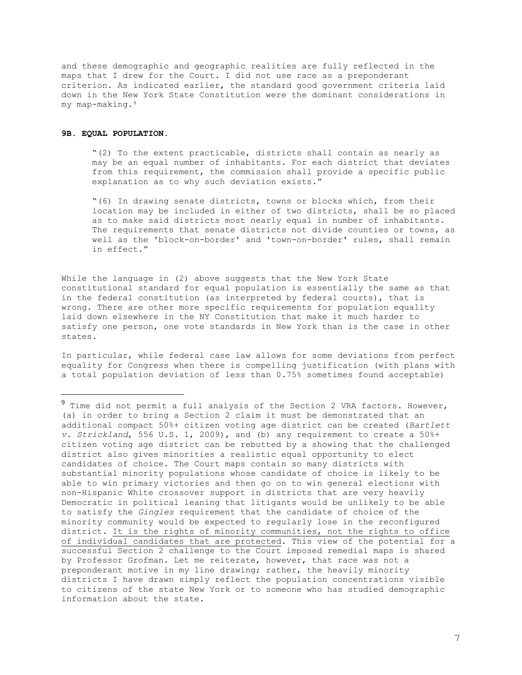and these demographic and geographic realities are fully reflected in the maps that I drew for the Court. I did not use race as a preponderant criterion. As indicated earlier, the standard good government criteria laid down in the New York State Constitution were the dominant considerations in my map-making.<sup>9</sup>

### **9B. EQUAL POPULATION.**

"(2) To the extent practicable, districts shall contain as nearly as may be an equal number of inhabitants. For each district that deviates from this requirement, the commission shall provide a specific public explanation as to why such deviation exists."

"(6) In drawing senate districts, towns or blocks which, from their location may be included in either of two districts, shall be so placed as to make said districts most nearly equal in number of inhabitants. The requirements that senate districts not divide counties or towns, as well as the 'block-on-border' and 'town-on-border' rules, shall remain in effect."

While the language in (2) above suggests that the New York State constitutional standard for equal population is essentially the same as that in the federal constitution (as interpreted by federal courts), that is wrong. There are other more specific requirements for population equality laid down elsewhere in the NY Constitution that make it much harder to satisfy one person, one vote standards in New York than is the case in other states.

In particular, while federal case law allows for some deviations from perfect equality for Congress when there is compelling justification (with plans with a total population deviation of less than 0.75% sometimes found acceptable)

 $9$  Time did not permit a full analysis of the Section 2 VRA factors. However, (a) in order to bring a Section 2 claim it must be demonstrated that an additional compact 50%+ citizen voting age district can be created (*Bartlett v. Strickland*, 556 U.S. 1, 2009), and (b) any requirement to create a 50%+ citizen voting age district can be rebutted by a showing that the challenged district also gives minorities a realistic equal opportunity to elect candidates of choice. The Court maps contain so many districts with substantial minority populations whose candidate of choice is likely to be able to win primary victories and then go on to win general elections with non-Hispanic White crossover support in districts that are very heavily Democratic in political leaning that litigants would be unlikely to be able to satisfy the *Gingles* requirement that the candidate of choice of the minority community would be expected to regularly lose in the reconfigured district. It is the rights of minority communities, not the rights to office of individual candidates that are protected. This view of the potential for a successful Section 2 challenge to the Court imposed remedial maps is shared by Professor Grofman. Let me reiterate, however, that race was not a preponderant motive in my line drawing; rather, the heavily minority districts I have drawn simply reflect the population concentrations visible to citizens of the state New York or to someone who has studied demographic information about the state.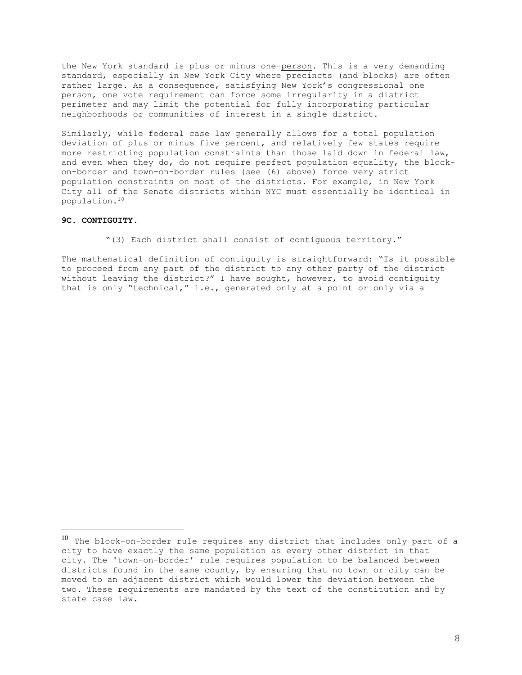the New York standard is plus or minus one-person. This is a very demanding standard, especially in New York City where precincts (and blocks) are often rather large. As a consequence, satisfying New York's congressional one person, one vote requirement can force some irregularity in a district perimeter and may limit the potential for fully incorporating particular neighborhoods or communities of interest in a single district.

Similarly, while federal case law generally allows for a total population deviation of plus or minus five percent, and relatively few states require more restricting population constraints than those laid down in federal law, and even when they do, do not require perfect population equality, the blockon-border and town-on-border rules (see (6) above) force very strict population constraints on most of the districts. For example, in New York City all of the Senate districts within NYC must essentially be identical in population.<sup>10</sup>

# **9C. CONTIGUITY.**

"(3) Each district shall consist of contiguous territory."

The mathematical definition of contiguity is straightforward: "Is it possible to proceed from any part of the district to any other party of the district without leaving the district?" I have sought, however, to avoid contiguity that is only "technical," i.e., generated only at a point or only via a

 $10$  The block-on-border rule requires any district that includes only part of a city to have exactly the same population as every other district in that city. The 'town-on-border' rule requires population to be balanced between districts found in the same county, by ensuring that no town or city can be moved to an adjacent district which would lower the deviation between the two. These requirements are mandated by the text of the constitution and by state case law.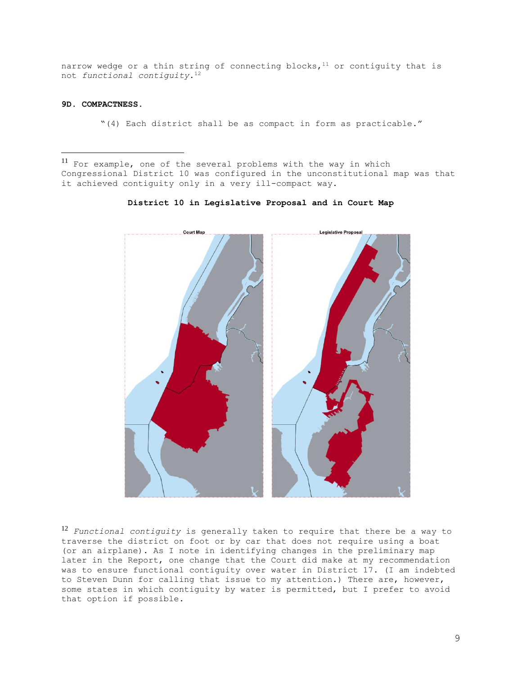narrow wedge or a thin string of connecting blocks,  $11$  or contiguity that is not *functional contiguity*.<sup>12</sup>

# **9D. COMPACTNESS**.

"(4) Each district shall be as compact in form as practicable."

<sup>11</sup> For example, one of the several problems with the way in which Congressional District 10 was configured in the unconstitutional map was that it achieved contiguity only in a very ill-compact way.





<sup>12</sup> *Functional contiguity* is generally taken to require that there be a way to traverse the district on foot or by car that does not require using a boat (or an airplane). As I note in identifying changes in the preliminary map later in the Report, one change that the Court did make at my recommendation was to ensure functional contiguity over water in District 17. (I am indebted to Steven Dunn for calling that issue to my attention.) There are, however, some states in which contiguity by water is permitted, but I prefer to avoid that option if possible.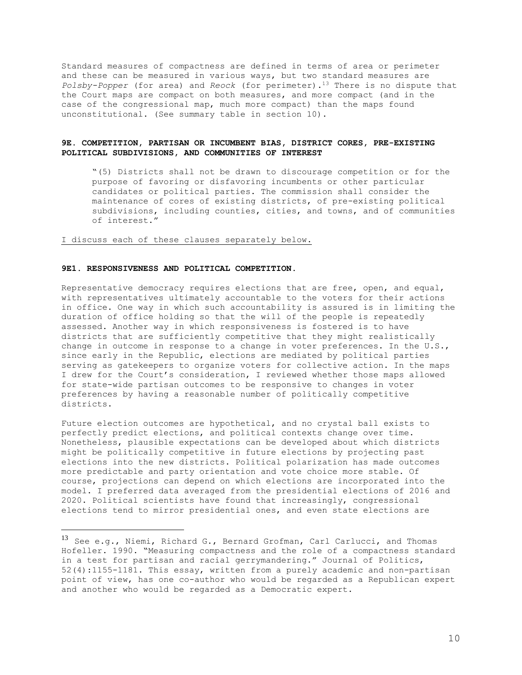Standard measures of compactness are defined in terms of area or perimeter and these can be measured in various ways, but two standard measures are *Polsby-Popper* (for area) and *Reock* (for perimeter).<sup>13</sup> There is no dispute that the Court maps are compact on both measures, and more compact (and in the case of the congressional map, much more compact) than the maps found unconstitutional. (See summary table in section 10).

# **9E. COMPETITION, PARTISAN OR INCUMBENT BIAS, DISTRICT CORES, PRE-EXISTING POLITICAL SUBDIVISIONS, AND COMMUNITIES OF INTEREST**

"(5) Districts shall not be drawn to discourage competition or for the purpose of favoring or disfavoring incumbents or other particular candidates or political parties. The commission shall consider the maintenance of cores of existing districts, of pre-existing political subdivisions, including counties, cities, and towns, and of communities of interest."

## I discuss each of these clauses separately below.

## **9E1. RESPONSIVENESS AND POLITICAL COMPETITION**.

Representative democracy requires elections that are free, open, and equal, with representatives ultimately accountable to the voters for their actions in office. One way in which such accountability is assured is in limiting the duration of office holding so that the will of the people is repeatedly assessed. Another way in which responsiveness is fostered is to have districts that are sufficiently competitive that they might realistically change in outcome in response to a change in voter preferences. In the U.S., since early in the Republic, elections are mediated by political parties serving as gatekeepers to organize voters for collective action. In the maps I drew for the Court's consideration, I reviewed whether those maps allowed for state-wide partisan outcomes to be responsive to changes in voter preferences by having a reasonable number of politically competitive districts.

Future election outcomes are hypothetical, and no crystal ball exists to perfectly predict elections, and political contexts change over time. Nonetheless, plausible expectations can be developed about which districts might be politically competitive in future elections by projecting past elections into the new districts. Political polarization has made outcomes more predictable and party orientation and vote choice more stable. Of course, projections can depend on which elections are incorporated into the model. I preferred data averaged from the presidential elections of 2016 and 2020. Political scientists have found that increasingly, congressional elections tend to mirror presidential ones, and even state elections are

<sup>13</sup> See e.g., Niemi, Richard G., Bernard Grofman, Carl Carlucci, and Thomas Hofeller. 1990. "Measuring compactness and the role of a compactness standard in a test for partisan and racial gerrymandering." Journal of Politics, 52(4):1155-1181. This essay, written from a purely academic and non-partisan point of view, has one co-author who would be regarded as a Republican expert and another who would be regarded as a Democratic expert.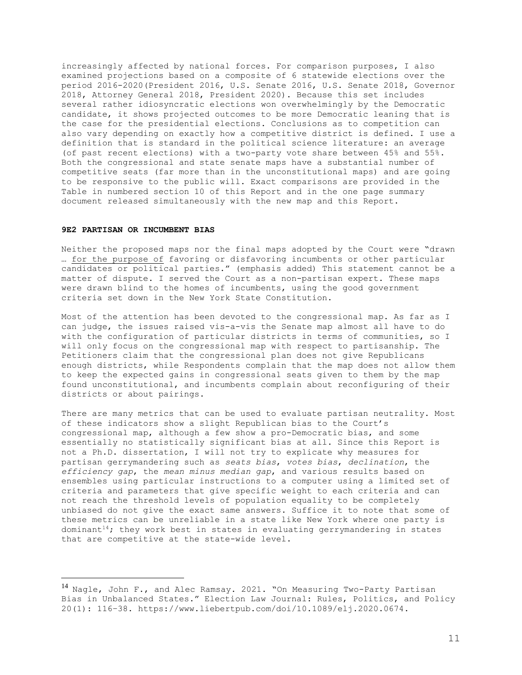increasingly affected by national forces. For comparison purposes, I also examined projections based on a composite of 6 statewide elections over the period 2016-2020(President 2016, U.S. Senate 2016, U.S. Senate 2018, Governor 2018, Attorney General 2018, President 2020). Because this set includes several rather idiosyncratic elections won overwhelmingly by the Democratic candidate, it shows projected outcomes to be more Democratic leaning that is the case for the presidential elections. Conclusions as to competition can also vary depending on exactly how a competitive district is defined. I use a definition that is standard in the political science literature: an average (of past recent elections) with a two-party vote share between 45% and 55%. Both the congressional and state senate maps have a substantial number of competitive seats (far more than in the unconstitutional maps) and are going to be responsive to the public will. Exact comparisons are provided in the Table in numbered section 10 of this Report and in the one page summary document released simultaneously with the new map and this Report.

## **9E2 PARTISAN OR INCUMBENT BIAS**

Neither the proposed maps nor the final maps adopted by the Court were "drawn … for the purpose of favoring or disfavoring incumbents or other particular candidates or political parties." (emphasis added) This statement cannot be a matter of dispute. I served the Court as a non-partisan expert. These maps were drawn blind to the homes of incumbents, using the good government criteria set down in the New York State Constitution.

Most of the attention has been devoted to the congressional map. As far as I can judge, the issues raised vis-a-vis the Senate map almost all have to do with the configuration of particular districts in terms of communities, so I will only focus on the congressional map with respect to partisanship. The Petitioners claim that the congressional plan does not give Republicans enough districts, while Respondents complain that the map does not allow them to keep the expected gains in congressional seats given to them by the map found unconstitutional, and incumbents complain about reconfiguring of their districts or about pairings**.** 

There are many metrics that can be used to evaluate partisan neutrality. Most of these indicators show a slight Republican bias to the Court's congressional map, although a few show a pro-Democratic bias, and some essentially no statistically significant bias at all. Since this Report is not a Ph.D. dissertation, I will not try to explicate why measures for partisan gerrymandering such as *seats bias*, *votes bias*, *declination*, the *efficiency gap*, the *mean minus median gap*, and various results based on ensembles using particular instructions to a computer using a limited set of criteria and parameters that give specific weight to each criteria and can not reach the threshold levels of population equality to be completely unbiased do not give the exact same answers. Suffice it to note that some of these metrics can be unreliable in a state like New York where one party is dominant<sup>14</sup>; they work best in states in evaluating gerrymandering in states that are competitive at the state-wide level.

<sup>&</sup>lt;sup>14</sup> Nagle, John F., and Alec Ramsay. 2021. "On Measuring Two-Party Partisan Bias in Unbalanced States." Election Law Journal: Rules, Politics, and Policy 20(1): 116–38. https://www.liebertpub.com/doi/10.1089/elj.2020.0674.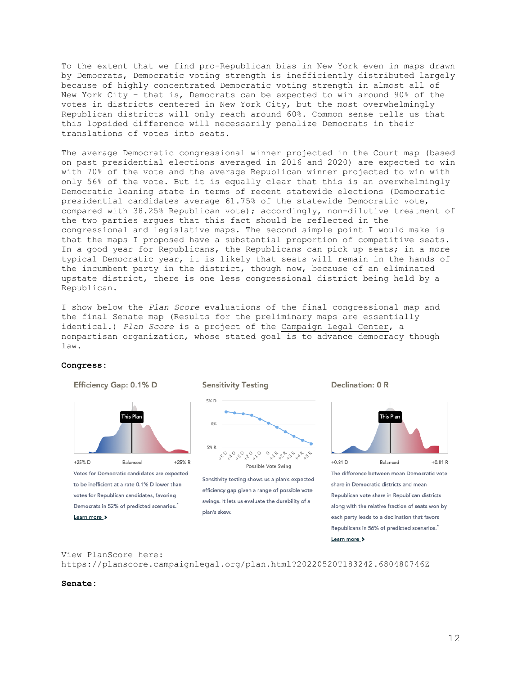To the extent that we find pro-Republican bias in New York even in maps drawn by Democrats, Democratic voting strength is inefficiently distributed largely because of highly concentrated Democratic voting strength in almost all of New York City – that is, Democrats can be expected to win around 90% of the votes in districts centered in New York City, but the most overwhelmingly Republican districts will only reach around 60%. Common sense tells us that this lopsided difference will necessarily penalize Democrats in their translations of votes into seats.

The average Democratic congressional winner projected in the Court map (based on past presidential elections averaged in 2016 and 2020) are expected to win with 70% of the vote and the average Republican winner projected to win with only 56% of the vote. But it is equally clear that this is an overwhelmingly Democratic leaning state in terms of recent statewide elections (Democratic presidential candidates average 61.75% of the statewide Democratic vote, compared with 38.25% Republican vote); accordingly, non-dilutive treatment of the two parties argues that this fact should be reflected in the congressional and legislative maps. The second simple point I would make is that the maps I proposed have a substantial proportion of competitive seats. In a good year for Republicans, the Republicans can pick up seats; in a more typical Democratic year, it is likely that seats will remain in the hands of the incumbent party in the district, though now, because of an eliminated upstate district, there is one less congressional district being held by a Republican.

I show below the *Plan Score* evaluations of the final congressional map and the final Senate map (Results for the preliminary maps are essentially identical.) *Plan Score* is a project of the [Campaign Legal Center,](https://campaignlegal.org/) a nonpartisan organization, whose stated goal is to advance democracy though law.

### **Congress:**



# View PlanScore here: https://planscore.campaignlegal.org/plan.html?20220520T183242.680480746Z

#### **Senate:**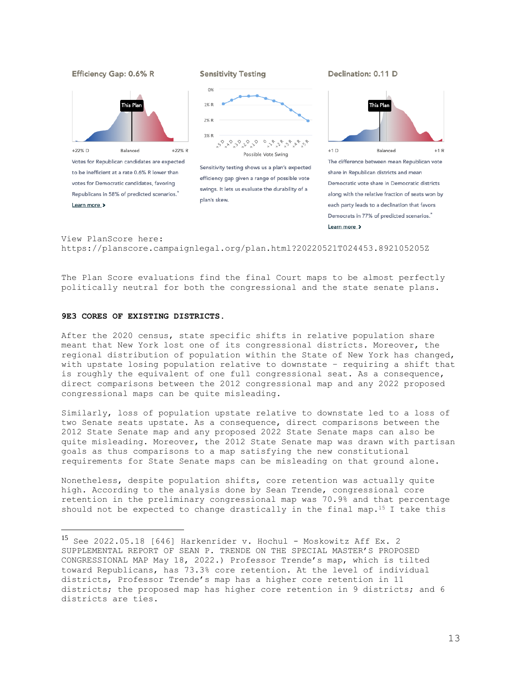

View PlanScore here: https://planscore.campaignlegal.org/plan.html?20220521T024453.892105205Z

The Plan Score evaluations find the final Court maps to be almost perfectly politically neutral for both the congressional and the state senate plans.

# **9E3 CORES OF EXISTING DISTRICTS**.

After the 2020 census, state specific shifts in relative population share meant that New York lost one of its congressional districts. Moreover, the regional distribution of population within the State of New York has changed, with upstate losing population relative to downstate – requiring a shift that is roughly the equivalent of one full congressional seat. As a consequence, direct comparisons between the 2012 congressional map and any 2022 proposed congressional maps can be quite misleading.

Similarly, loss of population upstate relative to downstate led to a loss of two Senate seats upstate. As a consequence, direct comparisons between the 2012 State Senate map and any proposed 2022 State Senate maps can also be quite misleading. Moreover, the 2012 State Senate map was drawn with partisan goals as thus comparisons to a map satisfying the new constitutional requirements for State Senate maps can be misleading on that ground alone.

Nonetheless, despite population shifts, core retention was actually quite high. According to the analysis done by Sean Trende, congressional core retention in the preliminary congressional map was 70.9% and that percentage should not be expected to change drastically in the final map.<sup>15</sup> I take this

 $15$  See 2022.05.18 [646] Harkenrider v. Hochul - Moskowitz Aff Ex. 2 SUPPLEMENTAL REPORT OF SEAN P. TRENDE ON THE SPECIAL MASTER'S PROPOSED CONGRESSIONAL MAP May 18, 2022.) Professor Trende's map, which is tilted toward Republicans, has 73.3% core retention. At the level of individual districts, Professor Trende's map has a higher core retention in 11 districts; the proposed map has higher core retention in 9 districts; and 6 districts are ties.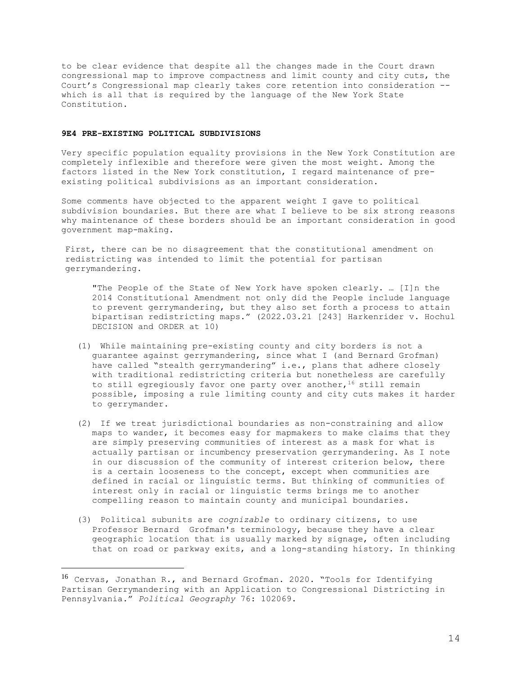to be clear evidence that despite all the changes made in the Court drawn congressional map to improve compactness and limit county and city cuts, the Court's Congressional map clearly takes core retention into consideration - which is all that is required by the language of the New York State Constitution.

# **9E4 PRE-EXISTING POLITICAL SUBDIVISIONS**

Very specific population equality provisions in the New York Constitution are completely inflexible and therefore were given the most weight. Among the factors listed in the New York constitution, I regard maintenance of preexisting political subdivisions as an important consideration.

Some comments have objected to the apparent weight I gave to political subdivision boundaries. But there are what I believe to be six strong reasons why maintenance of these borders should be an important consideration in good government map-making.

First, there can be no disagreement that the constitutional amendment on redistricting was intended to limit the potential for partisan gerrymandering.

"The People of the State of New York have spoken clearly. … [I]n the 2014 Constitutional Amendment not only did the People include language to prevent gerrymandering, but they also set forth a process to attain bipartisan redistricting maps." (2022.03.21 [243] Harkenrider v. Hochul DECISION and ORDER at 10)

- (1) While maintaining pre-existing county and city borders is not a guarantee against gerrymandering, since what I (and Bernard Grofman) have called "stealth gerrymandering" i.e., plans that adhere closely with traditional redistricting criteria but nonetheless are carefully to still egregiously favor one party over another,  $16$  still remain possible, imposing a rule limiting county and city cuts makes it harder to gerrymander**.**
- (2) If we treat jurisdictional boundaries as non-constraining and allow maps to wander, it becomes easy for mapmakers to make claims that they are simply preserving communities of interest as a mask for what is actually partisan or incumbency preservation gerrymandering. As I note in our discussion of the community of interest criterion below, there is a certain looseness to the concept, except when communities are defined in racial or linguistic terms. But thinking of communities of interest only in racial or linguistic terms brings me to another compelling reason to maintain county and municipal boundaries.
- (3) Political subunits are *cognizable* to ordinary citizens, to use Professor Bernard Grofman's terminology, because they have a clear geographic location that is usually marked by signage, often including that on road or parkway exits, and a long-standing history. In thinking

<sup>&</sup>lt;sup>16</sup> Cervas, Jonathan R., and Bernard Grofman. 2020. "Tools for Identifying Partisan Gerrymandering with an Application to Congressional Districting in Pennsylvania." *Political Geography* 76: 102069.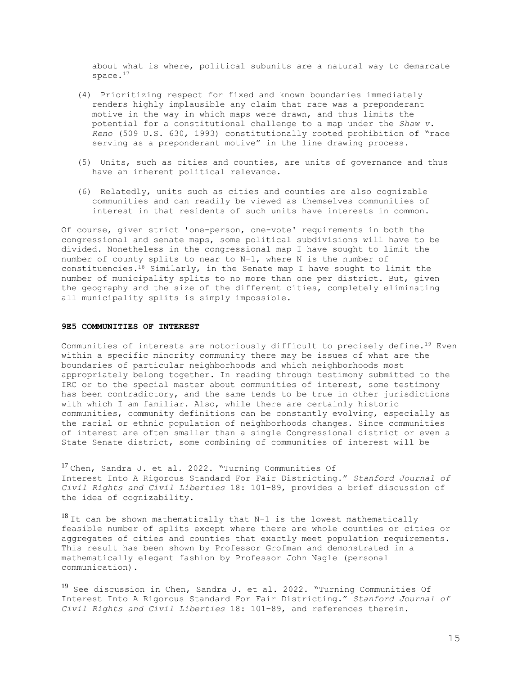about what is where, political subunits are a natural way to demarcate space.<sup>17</sup>

- (4) Prioritizing respect for fixed and known boundaries immediately renders highly implausible any claim that race was a preponderant motive in the way in which maps were drawn, and thus limits the potential for a constitutional challenge to a map under the *Shaw v. Reno* (509 U.S. 630, 1993) constitutionally rooted prohibition of "race serving as a preponderant motive" in the line drawing process.
- (5) Units, such as cities and counties, are units of governance and thus have an inherent political relevance.
- (6) Relatedly, units such as cities and counties are also cognizable communities and can readily be viewed as themselves communities of interest in that residents of such units have interests in common.

Of course, given strict 'one-person, one-vote' requirements in both the congressional and senate maps, some political subdivisions will have to be divided. Nonetheless in the congressional map I have sought to limit the number of county splits to near to N-1, where N is the number of constituencies.<sup>18</sup> Similarly, in the Senate map I have sought to limit the number of municipality splits to no more than one per district. But, given the geography and the size of the different cities, completely eliminating all municipality splits is simply impossible.

### **9E5 COMMUNITIES OF INTEREST**

Communities of interests are notoriously difficult to precisely define.<sup>19</sup> Even within a specific minority community there may be issues of what are the boundaries of particular neighborhoods and which neighborhoods most appropriately belong together. In reading through testimony submitted to the IRC or to the special master about communities of interest, some testimony has been contradictory, and the same tends to be true in other jurisdictions with which I am familiar. Also, while there are certainly historic communities, community definitions can be constantly evolving, especially as the racial or ethnic population of neighborhoods changes. Since communities of interest are often smaller than a single Congressional district or even a State Senate district, some combining of communities of interest will be

<sup>17</sup> Chen, Sandra J. et al. 2022. "Turning Communities Of Interest Into A Rigorous Standard For Fair Districting." *Stanford Journal of Civil Rights and Civil Liberties* 18: 101–89, provides a brief discussion of the idea of cognizability.

 $18$  It can be shown mathematically that N-1 is the lowest mathematically feasible number of splits except where there are whole counties or cities or aggregates of cities and counties that exactly meet population requirements. This result has been shown by Professor Grofman and demonstrated in a mathematically elegant fashion by Professor John Nagle (personal communication).

<sup>19</sup> See discussion in Chen, Sandra J. et al. 2022. "Turning Communities Of Interest Into A Rigorous Standard For Fair Districting." *Stanford Journal of Civil Rights and Civil Liberties* 18: 101–89, and references therein.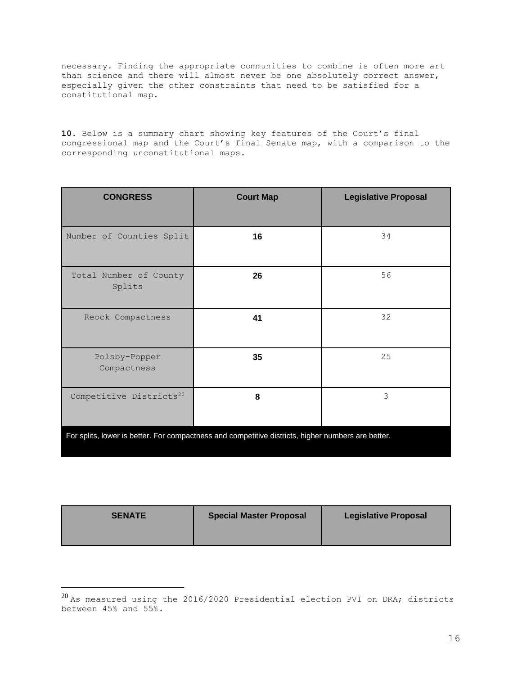necessary. Finding the appropriate communities to combine is often more art than science and there will almost never be one absolutely correct answer, especially given the other constraints that need to be satisfied for a constitutional map.

**10.** Below is a summary chart showing key features of the Court's final congressional map and the Court's final Senate map, with a comparison to the corresponding unconstitutional maps.

| <b>CONGRESS</b>                                                                                    | <b>Court Map</b> | <b>Legislative Proposal</b> |  |
|----------------------------------------------------------------------------------------------------|------------------|-----------------------------|--|
| Number of Counties Split                                                                           | 16               | 34                          |  |
| Total Number of County<br>Splits                                                                   | 26               | 56                          |  |
| Reock Compactness                                                                                  | 41               | 32                          |  |
| Polsby-Popper<br>Compactness                                                                       | 35               | 25                          |  |
| Competitive Districts <sup>20</sup>                                                                | 8                | 3                           |  |
| For splits, lower is better. For compactness and competitive districts, higher numbers are better. |                  |                             |  |

| <b>SENATE</b> | <b>Special Master Proposal</b> | <b>Legislative Proposal</b> |
|---------------|--------------------------------|-----------------------------|
|               |                                |                             |

<sup>20</sup> As measured using the 2016/2020 Presidential election PVI on DRA; districts between 45% and 55%.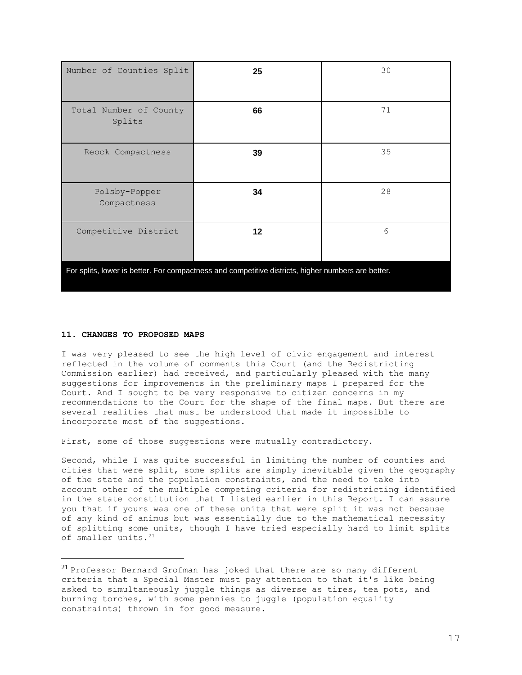| Number of Counties Split                                                                           | 25 | 30 |  |
|----------------------------------------------------------------------------------------------------|----|----|--|
| Total Number of County<br>Splits                                                                   | 66 | 71 |  |
| Reock Compactness                                                                                  | 39 | 35 |  |
| Polsby-Popper<br>Compactness                                                                       | 34 | 28 |  |
| Competitive District                                                                               | 12 | 6  |  |
| For splits, lower is better. For compactness and competitive districts, higher numbers are better. |    |    |  |

### **11. CHANGES TO PROPOSED MAPS**

I was very pleased to see the high level of civic engagement and interest reflected in the volume of comments this Court (and the Redistricting Commission earlier) had received, and particularly pleased with the many suggestions for improvements in the preliminary maps I prepared for the Court. And I sought to be very responsive to citizen concerns in my recommendations to the Court for the shape of the final maps. But there are several realities that must be understood that made it impossible to incorporate most of the suggestions.

First, some of those suggestions were mutually contradictory.

Second, while I was quite successful in limiting the number of counties and cities that were split, some splits are simply inevitable given the geography of the state and the population constraints, and the need to take into account other of the multiple competing criteria for redistricting identified in the state constitution that I listed earlier in this Report. I can assure you that if yours was one of these units that were split it was not because of any kind of animus but was essentially due to the mathematical necessity of splitting some units, though I have tried especially hard to limit splits of smaller units.<sup>21</sup>

<sup>&</sup>lt;sup>21</sup> Professor Bernard Grofman has joked that there are so many different criteria that a Special Master must pay attention to that it's like being asked to simultaneously juggle things as diverse as tires, tea pots, and burning torches, with some pennies to juggle (population equality constraints) thrown in for good measure.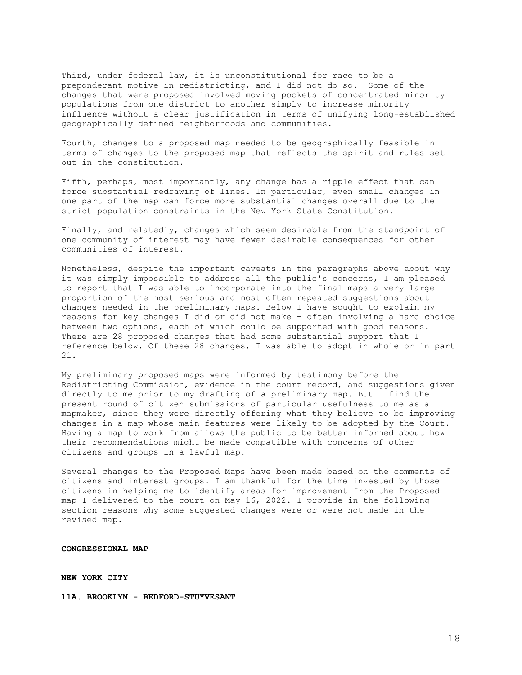Third, under federal law, it is unconstitutional for race to be a preponderant motive in redistricting, and I did not do so. Some of the changes that were proposed involved moving pockets of concentrated minority populations from one district to another simply to increase minority influence without a clear justification in terms of unifying long-established geographically defined neighborhoods and communities.

Fourth, changes to a proposed map needed to be geographically feasible in terms of changes to the proposed map that reflects the spirit and rules set out in the constitution.

Fifth, perhaps, most importantly, any change has a ripple effect that can force substantial redrawing of lines. In particular, even small changes in one part of the map can force more substantial changes overall due to the strict population constraints in the New York State Constitution.

Finally, and relatedly, changes which seem desirable from the standpoint of one community of interest may have fewer desirable consequences for other communities of interest.

Nonetheless, despite the important caveats in the paragraphs above about why it was simply impossible to address all the public's concerns, I am pleased to report that I was able to incorporate into the final maps a very large proportion of the most serious and most often repeated suggestions about changes needed in the preliminary maps. Below I have sought to explain my reasons for key changes I did or did not make – often involving a hard choice between two options, each of which could be supported with good reasons. There are 28 proposed changes that had some substantial support that I reference below. Of these 28 changes, I was able to adopt in whole or in part 21.

My preliminary proposed maps were informed by testimony before the Redistricting Commission, evidence in the court record, and suggestions given directly to me prior to my drafting of a preliminary map. But I find the present round of citizen submissions of particular usefulness to me as a mapmaker, since they were directly offering what they believe to be improving changes in a map whose main features were likely to be adopted by the Court. Having a map to work from allows the public to be better informed about how their recommendations might be made compatible with concerns of other citizens and groups in a lawful map.

Several changes to the Proposed Maps have been made based on the comments of citizens and interest groups. I am thankful for the time invested by those citizens in helping me to identify areas for improvement from the Proposed map I delivered to the court on May 16, 2022. I provide in the following section reasons why some suggested changes were or were not made in the revised map.

**CONGRESSIONAL MAP**

**NEW YORK CITY** 

**11A. BROOKLYN - BEDFORD-STUYVESANT**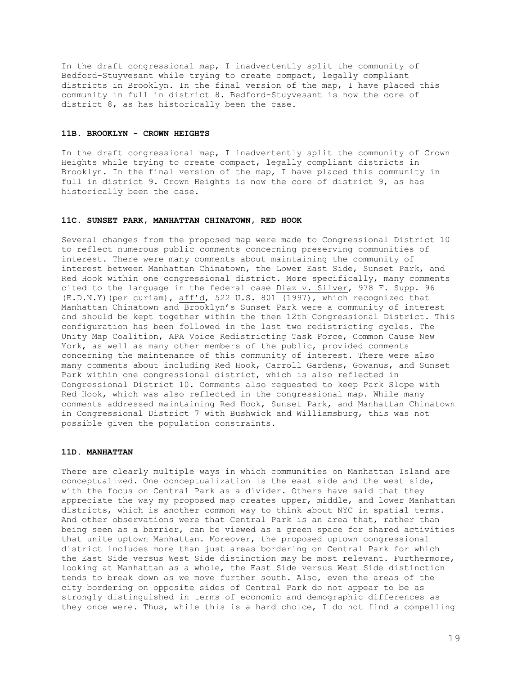In the draft congressional map, I inadvertently split the community of Bedford-Stuyvesant while trying to create compact, legally compliant districts in Brooklyn. In the final version of the map, I have placed this community in full in district 8. Bedford-Stuyvesant is now the core of district 8, as has historically been the case.

#### **11B. BROOKLYN - CROWN HEIGHTS**

In the draft congressional map, I inadvertently split the community of Crown Heights while trying to create compact, legally compliant districts in Brooklyn. In the final version of the map, I have placed this community in full in district 9. Crown Heights is now the core of district 9, as has historically been the case.

## **11C. SUNSET PARK, MANHATTAN CHINATOWN, RED HOOK**

Several changes from the proposed map were made to Congressional District 10 to reflect numerous public comments concerning preserving communities of interest. There were many comments about maintaining the community of interest between Manhattan Chinatown, the Lower East Side, Sunset Park, and Red Hook within one congressional district. More specifically, many comments cited to the language in the federal case Diaz v. Silver, 978 F. Supp. 96 (E.D.N.Y)(per curiam), aff'd, 522 U.S. 801 (1997), which recognized that Manhattan Chinatown and Brooklyn's Sunset Park were a community of interest and should be kept together within the then 12th Congressional District. This configuration has been followed in the last two redistricting cycles. The Unity Map Coalition, APA Voice Redistricting Task Force, Common Cause New York, as well as many other members of the public, provided comments concerning the maintenance of this community of interest. There were also many comments about including Red Hook, Carroll Gardens, Gowanus, and Sunset Park within one congressional district, which is also reflected in Congressional District 10. Comments also requested to keep Park Slope with Red Hook, which was also reflected in the congressional map. While many comments addressed maintaining Red Hook, Sunset Park, and Manhattan Chinatown in Congressional District 7 with Bushwick and Williamsburg, this was not possible given the population constraints.

### **11D. MANHATTAN**

There are clearly multiple ways in which communities on Manhattan Island are conceptualized. One conceptualization is the east side and the west side, with the focus on Central Park as a divider. Others have said that they appreciate the way my proposed map creates upper, middle, and lower Manhattan districts, which is another common way to think about NYC in spatial terms. And other observations were that Central Park is an area that, rather than being seen as a barrier, can be viewed as a green space for shared activities that unite uptown Manhattan. Moreover, the proposed uptown congressional district includes more than just areas bordering on Central Park for which the East Side versus West Side distinction may be most relevant. Furthermore, looking at Manhattan as a whole, the East Side versus West Side distinction tends to break down as we move further south. Also, even the areas of the city bordering on opposite sides of Central Park do not appear to be as strongly distinguished in terms of economic and demographic differences as they once were. Thus, while this is a hard choice, I do not find a compelling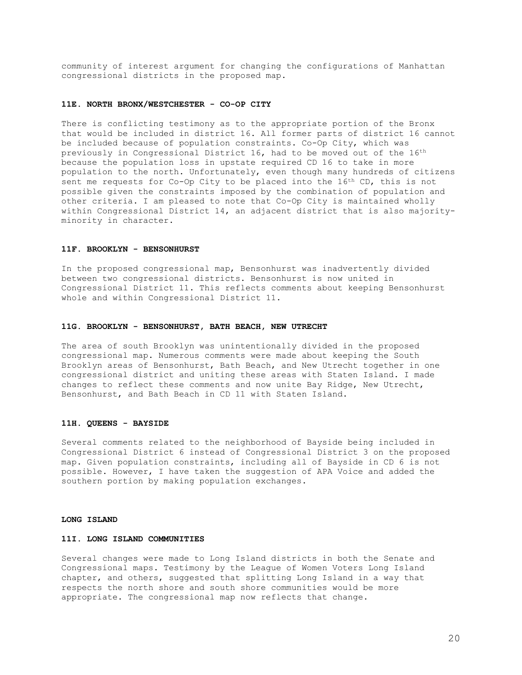community of interest argument for changing the configurations of Manhattan congressional districts in the proposed map.

# **11E. NORTH BRONX/WESTCHESTER - CO-OP CITY**

There is conflicting testimony as to the appropriate portion of the Bronx that would be included in district 16. All former parts of district 16 cannot be included because of population constraints. Co-Op City, which was previously in Congressional District 16, had to be moved out of the 16th because the population loss in upstate required CD 16 to take in more population to the north. Unfortunately, even though many hundreds of citizens sent me requests for Co-Op City to be placed into the 16<sup>th</sup> CD, this is not possible given the constraints imposed by the combination of population and other criteria. I am pleased to note that Co-Op City is maintained wholly within Congressional District 14, an adjacent district that is also majorityminority in character.

#### **11F. BROOKLYN - BENSONHURST**

In the proposed congressional map, Bensonhurst was inadvertently divided between two congressional districts. Bensonhurst is now united in Congressional District 11. This reflects comments about keeping Bensonhurst whole and within Congressional District 11.

### **11G. BROOKLYN - BENSONHURST, BATH BEACH, NEW UTRECHT**

The area of south Brooklyn was unintentionally divided in the proposed congressional map. Numerous comments were made about keeping the South Brooklyn areas of Bensonhurst, Bath Beach, and New Utrecht together in one congressional district and uniting these areas with Staten Island. I made changes to reflect these comments and now unite Bay Ridge, New Utrecht, Bensonhurst, and Bath Beach in CD 11 with Staten Island.

### **11H. QUEENS - BAYSIDE**

Several comments related to the neighborhood of Bayside being included in Congressional District 6 instead of Congressional District 3 on the proposed map. Given population constraints, including all of Bayside in CD 6 is not possible. However, I have taken the suggestion of APA Voice and added the southern portion by making population exchanges.

#### **LONG ISLAND**

# **11I. LONG ISLAND COMMUNITIES**

Several changes were made to Long Island districts in both the Senate and Congressional maps. Testimony by the League of Women Voters Long Island chapter, and others, suggested that splitting Long Island in a way that respects the north shore and south shore communities would be more appropriate. The congressional map now reflects that change.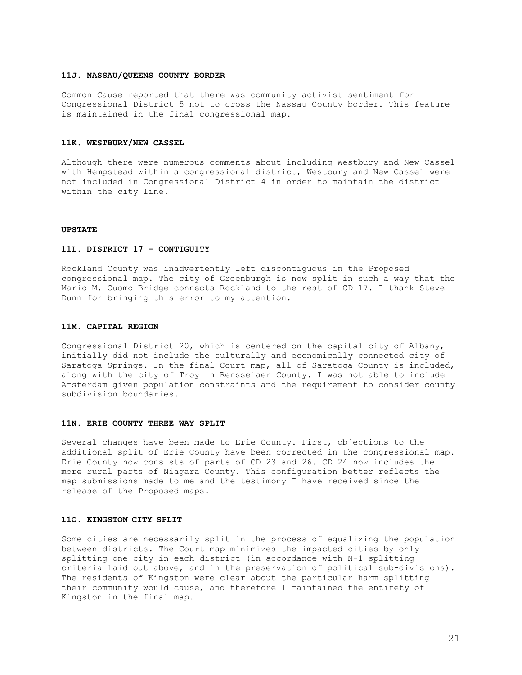## **11J. NASSAU/QUEENS COUNTY BORDER**

Common Cause reported that there was community activist sentiment for Congressional District 5 not to cross the Nassau County border. This feature is maintained in the final congressional map.

#### **11K. WESTBURY/NEW CASSEL**

Although there were numerous comments about including Westbury and New Cassel with Hempstead within a congressional district, Westbury and New Cassel were not included in Congressional District 4 in order to maintain the district within the city line.

## **UPSTATE**

#### **11L. DISTRICT 17 - CONTIGUITY**

Rockland County was inadvertently left discontiguous in the Proposed congressional map. The city of Greenburgh is now split in such a way that the Mario M. Cuomo Bridge connects Rockland to the rest of CD 17. I thank Steve Dunn for bringing this error to my attention.

### **11M. CAPITAL REGION**

Congressional District 20, which is centered on the capital city of Albany, initially did not include the culturally and economically connected city of Saratoga Springs. In the final Court map, all of Saratoga County is included, along with the city of Troy in Rensselaer County. I was not able to include Amsterdam given population constraints and the requirement to consider county subdivision boundaries.

### **11N. ERIE COUNTY THREE WAY SPLIT**

Several changes have been made to Erie County. First, objections to the additional split of Erie County have been corrected in the congressional map. Erie County now consists of parts of CD 23 and 26. CD 24 now includes the more rural parts of Niagara County. This configuration better reflects the map submissions made to me and the testimony I have received since the release of the Proposed maps.

#### **11O. KINGSTON CITY SPLIT**

Some cities are necessarily split in the process of equalizing the population between districts. The Court map minimizes the impacted cities by only splitting one city in each district (in accordance with N-1 splitting criteria laid out above, and in the preservation of political sub-divisions). The residents of Kingston were clear about the particular harm splitting their community would cause, and therefore I maintained the entirety of Kingston in the final map.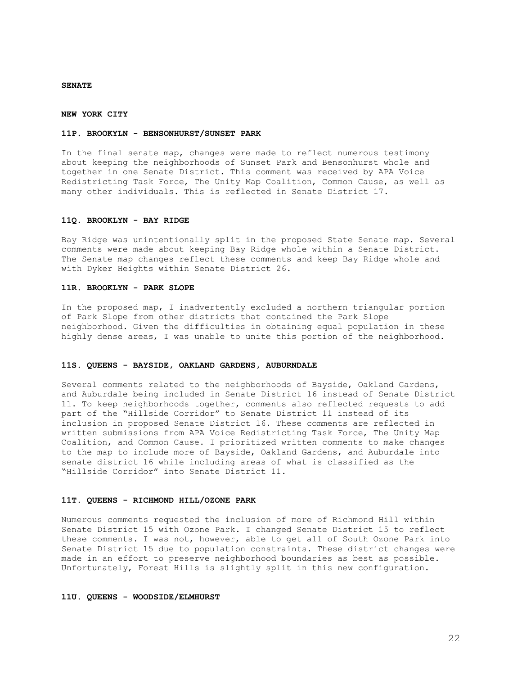#### **SENATE**

#### **NEW YORK CITY**

#### **11P. BROOKYLN - BENSONHURST/SUNSET PARK**

In the final senate map, changes were made to reflect numerous testimony about keeping the neighborhoods of Sunset Park and Bensonhurst whole and together in one Senate District. This comment was received by APA Voice Redistricting Task Force, The Unity Map Coalition, Common Cause, as well as many other individuals. This is reflected in Senate District 17.

#### **11Q. BROOKLYN - BAY RIDGE**

Bay Ridge was unintentionally split in the proposed State Senate map. Several comments were made about keeping Bay Ridge whole within a Senate District. The Senate map changes reflect these comments and keep Bay Ridge whole and with Dyker Heights within Senate District 26.

#### **11R. BROOKLYN - PARK SLOPE**

In the proposed map, I inadvertently excluded a northern triangular portion of Park Slope from other districts that contained the Park Slope neighborhood. Given the difficulties in obtaining equal population in these highly dense areas, I was unable to unite this portion of the neighborhood.

### **11S. QUEENS - BAYSIDE, OAKLAND GARDENS, AUBURNDALE**

Several comments related to the neighborhoods of Bayside, Oakland Gardens, and Auburdale being included in Senate District 16 instead of Senate District 11. To keep neighborhoods together, comments also reflected requests to add part of the "Hillside Corridor" to Senate District 11 instead of its inclusion in proposed Senate District 16. These comments are reflected in written submissions from APA Voice Redistricting Task Force, The Unity Map Coalition, and Common Cause. I prioritized written comments to make changes to the map to include more of Bayside, Oakland Gardens, and Auburdale into senate district 16 while including areas of what is classified as the "Hillside Corridor" into Senate District 11.

#### **11T. QUEENS - RICHMOND HILL/OZONE PARK**

Numerous comments requested the inclusion of more of Richmond Hill within Senate District 15 with Ozone Park. I changed Senate District 15 to reflect these comments. I was not, however, able to get all of South Ozone Park into Senate District 15 due to population constraints. These district changes were made in an effort to preserve neighborhood boundaries as best as possible. Unfortunately, Forest Hills is slightly split in this new configuration.

#### **11U. QUEENS - WOODSIDE/ELMHURST**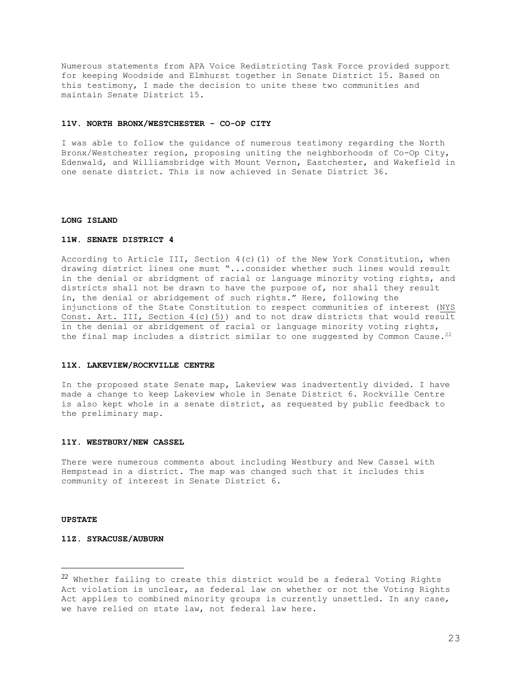Numerous statements from APA Voice Redistricting Task Force provided support for keeping Woodside and Elmhurst together in Senate District 15. Based on this testimony, I made the decision to unite these two communities and maintain Senate District 15.

#### **11V. NORTH BRONX/WESTCHESTER - CO-OP CITY**

I was able to follow the guidance of numerous testimony regarding the North Bronx/Westchester region, proposing uniting the neighborhoods of Co-Op City, Edenwald, and Williamsbridge with Mount Vernon, Eastchester, and Wakefield in one senate district. This is now achieved in Senate District 36.

#### **LONG ISLAND**

# **11W. SENATE DISTRICT 4**

According to Article III, Section 4(c)(1) of the New York Constitution, when drawing district lines one must "...consider whether such lines would result in the denial or abridgment of racial or language minority voting rights, and districts shall not be drawn to have the purpose of, nor shall they result in, the denial or abridgement of such rights." Here, following the injunctions of the State Constitution to respect communities of interest (NYS Const. Art. III, Section  $4(c)(5)$ ) and to not draw districts that would result in the denial or abridgement of racial or language minority voting rights, the final map includes a district similar to one suggested by Common Cause.<sup>22</sup>

### **11X. LAKEVIEW/ROCKVILLE CENTRE**

In the proposed state Senate map, Lakeview was inadvertently divided. I have made a change to keep Lakeview whole in Senate District 6. Rockville Centre is also kept whole in a senate district, as requested by public feedback to the preliminary map.

### **11Y. WESTBURY/NEW CASSEL**

There were numerous comments about including Westbury and New Cassel with Hempstead in a district. The map was changed such that it includes this community of interest in Senate District 6.

#### **UPSTATE**

# **11Z. SYRACUSE/AUBURN**

 $22$  Whether failing to create this district would be a federal Voting Rights Act violation is unclear, as federal law on whether or not the Voting Rights Act applies to combined minority groups is currently unsettled. In any case, we have relied on state law, not federal law here.